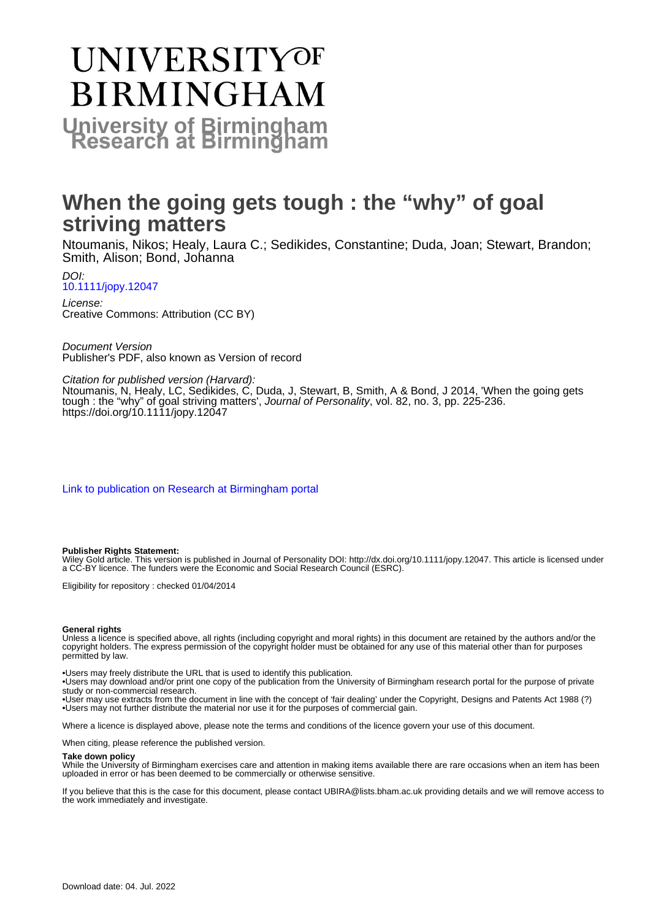# UNIVERSITYOF **BIRMINGHAM University of Birmingham**

# **When the going gets tough : the "why" of goal striving matters**

Ntoumanis, Nikos; Healy, Laura C.; Sedikides, Constantine; Duda, Joan; Stewart, Brandon; Smith, Alison; Bond, Johanna

DOI: [10.1111/jopy.12047](https://doi.org/10.1111/jopy.12047)

License: Creative Commons: Attribution (CC BY)

Document Version Publisher's PDF, also known as Version of record

Citation for published version (Harvard):

Ntoumanis, N, Healy, LC, Sedikides, C, Duda, J, Stewart, B, Smith, A & Bond, J 2014, 'When the going gets tough : the "why" of goal striving matters', *Journal of Personality*, vol. 82, no. 3, pp. 225-236. <https://doi.org/10.1111/jopy.12047>

[Link to publication on Research at Birmingham portal](https://birmingham.elsevierpure.com/en/publications/518d839f-4445-4db0-beba-9626b803e68a)

#### **Publisher Rights Statement:**

Wiley Gold article. This version is published in Journal of Personality DOI: http://dx.doi.org/10.1111/jopy.12047. This article is licensed under a CC-BY licence. The funders were the Economic and Social Research Council (ESRC).

Eligibility for repository : checked 01/04/2014

#### **General rights**

Unless a licence is specified above, all rights (including copyright and moral rights) in this document are retained by the authors and/or the copyright holders. The express permission of the copyright holder must be obtained for any use of this material other than for purposes permitted by law.

• Users may freely distribute the URL that is used to identify this publication.

• Users may download and/or print one copy of the publication from the University of Birmingham research portal for the purpose of private study or non-commercial research.

• User may use extracts from the document in line with the concept of 'fair dealing' under the Copyright, Designs and Patents Act 1988 (?) • Users may not further distribute the material nor use it for the purposes of commercial gain.

Where a licence is displayed above, please note the terms and conditions of the licence govern your use of this document.

When citing, please reference the published version.

#### **Take down policy**

While the University of Birmingham exercises care and attention in making items available there are rare occasions when an item has been uploaded in error or has been deemed to be commercially or otherwise sensitive.

If you believe that this is the case for this document, please contact UBIRA@lists.bham.ac.uk providing details and we will remove access to the work immediately and investigate.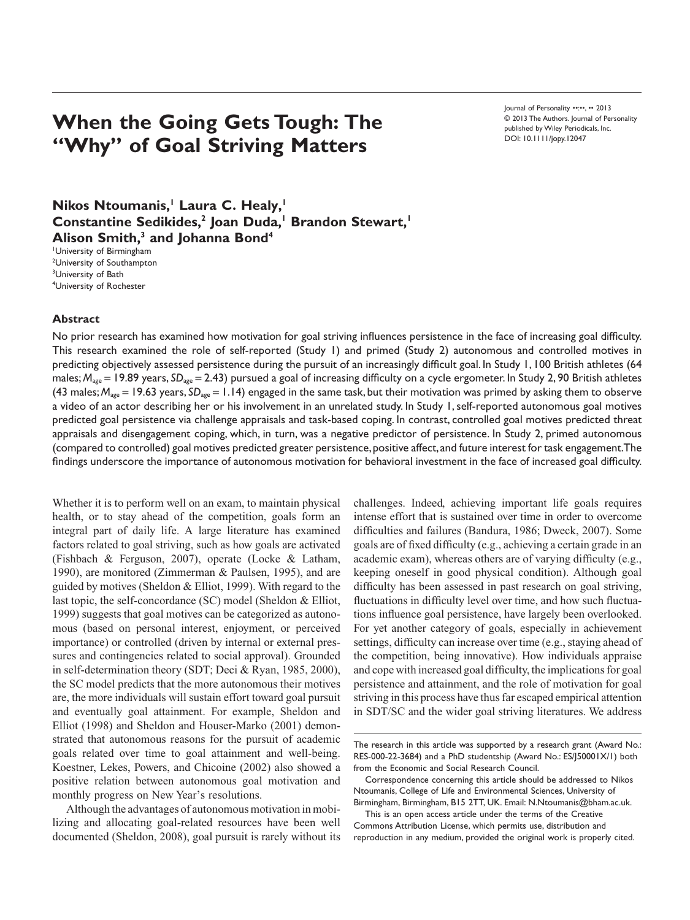# **When the Going Gets Tough: The "Why" of Goal Striving Matters**

Journal of Personality ••:••, •• 2013 © 2013 The Authors. Journal of Personality published by Wiley Periodicals, Inc. DOI: 10.1111/jopy.12047

**Nikos Ntoumanis,1 Laura C. Healy,1 Constantine Sedikides,<sup>2</sup> Joan Duda,<sup>1</sup> Brandon Stewart,<sup>1</sup> Alison Smith,3 and Johanna Bond4**

University of Birmingham <sup>2</sup>University of Southampton <sup>3</sup>University of Bath 4 University of Rochester

#### **Abstract**

No prior research has examined how motivation for goal striving influences persistence in the face of increasing goal difficulty. This research examined the role of self-reported (Study 1) and primed (Study 2) autonomous and controlled motives in predicting objectively assessed persistence during the pursuit of an increasingly difficult goal. In Study 1, 100 British athletes (64 males;  $M_{\text{age}} = 19.89$  years,  $SD_{\text{age}} = 2.43$ ) pursued a goal of increasing difficulty on a cycle ergometer. In Study 2, 90 British athletes (43 males;  $M_{\text{age}} = 19.63$  years,  $SD_{\text{age}} = 1.14$ ) engaged in the same task, but their motivation was primed by asking them to observe a video of an actor describing her or his involvement in an unrelated study. In Study 1, self-reported autonomous goal motives predicted goal persistence via challenge appraisals and task-based coping. In contrast, controlled goal motives predicted threat appraisals and disengagement coping, which, in turn, was a negative predictor of persistence. In Study 2, primed autonomous (compared to controlled) goal motives predicted greater persistence, positive affect,and future interest for task engagement.The findings underscore the importance of autonomous motivation for behavioral investment in the face of increased goal difficulty.

Whether it is to perform well on an exam, to maintain physical health, or to stay ahead of the competition, goals form an integral part of daily life. A large literature has examined factors related to goal striving, such as how goals are activated (Fishbach & Ferguson, 2007), operate (Locke & Latham, 1990), are monitored (Zimmerman & Paulsen, 1995), and are guided by motives (Sheldon & Elliot, 1999). With regard to the last topic, the self-concordance (SC) model (Sheldon & Elliot, 1999) suggests that goal motives can be categorized as autonomous (based on personal interest, enjoyment, or perceived importance) or controlled (driven by internal or external pressures and contingencies related to social approval). Grounded in self-determination theory (SDT; Deci & Ryan, 1985, 2000), the SC model predicts that the more autonomous their motives are, the more individuals will sustain effort toward goal pursuit and eventually goal attainment. For example, Sheldon and Elliot (1998) and Sheldon and Houser-Marko (2001) demonstrated that autonomous reasons for the pursuit of academic goals related over time to goal attainment and well-being. Koestner, Lekes, Powers, and Chicoine (2002) also showed a positive relation between autonomous goal motivation and monthly progress on New Year's resolutions.

Although the advantages of autonomous motivation in mobilizing and allocating goal-related resources have been well documented (Sheldon, 2008), goal pursuit is rarely without its challenges. Indeed, achieving important life goals requires intense effort that is sustained over time in order to overcome difficulties and failures (Bandura, 1986; Dweck, 2007). Some goals are of fixed difficulty (e.g., achieving a certain grade in an academic exam), whereas others are of varying difficulty (e.g., keeping oneself in good physical condition). Although goal difficulty has been assessed in past research on goal striving, fluctuations in difficulty level over time, and how such fluctuations influence goal persistence, have largely been overlooked. For yet another category of goals, especially in achievement settings, difficulty can increase over time (e.g., staying ahead of the competition, being innovative). How individuals appraise and cope with increased goal difficulty, the implications for goal persistence and attainment, and the role of motivation for goal striving in this process have thus far escaped empirical attention in SDT/SC and the wider goal striving literatures. We address

The research in this article was supported by a research grant (Award No.: RES-000-22-3684) and a PhD studentship (Award No.: ES/J50001X/1) both from the Economic and Social Research Council.

Correspondence concerning this article should be addressed to Nikos Ntoumanis, College of Life and Environmental Sciences, University of Birmingham, Birmingham, B15 2TT, UK. Email: N.Ntoumanis@bham.ac.uk.

This is an open access article under the terms of the Creative Commons Attribution License, which permits use, distribution and reproduction in any medium, provided the original work is properly cited.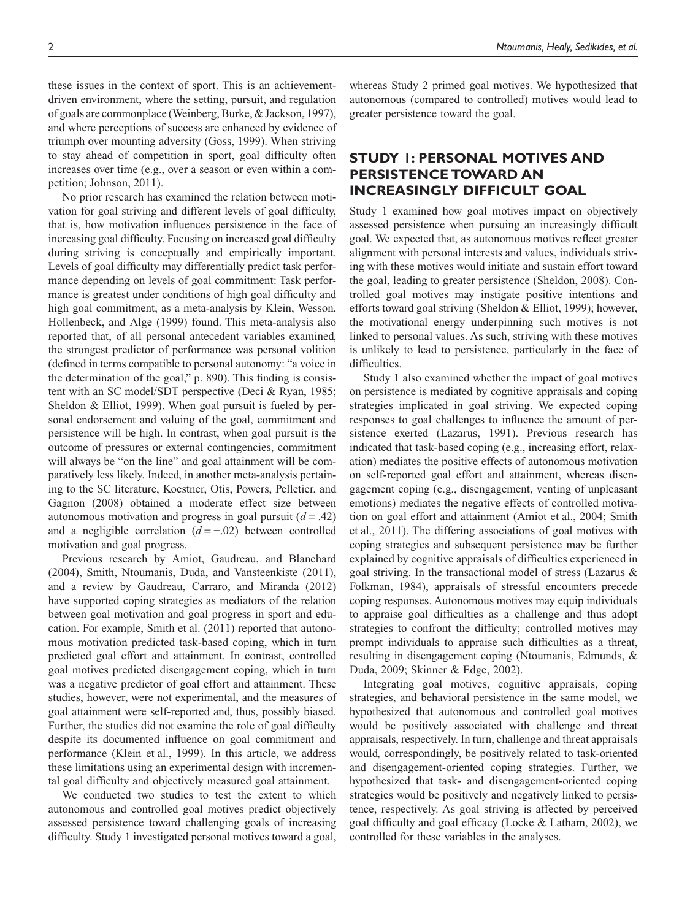these issues in the context of sport. This is an achievementdriven environment, where the setting, pursuit, and regulation of goals are commonplace (Weinberg, Burke, & Jackson, 1997), and where perceptions of success are enhanced by evidence of triumph over mounting adversity (Goss, 1999). When striving to stay ahead of competition in sport, goal difficulty often increases over time (e.g., over a season or even within a competition; Johnson, 2011).

No prior research has examined the relation between motivation for goal striving and different levels of goal difficulty, that is, how motivation influences persistence in the face of increasing goal difficulty. Focusing on increased goal difficulty during striving is conceptually and empirically important. Levels of goal difficulty may differentially predict task performance depending on levels of goal commitment: Task performance is greatest under conditions of high goal difficulty and high goal commitment, as a meta-analysis by Klein, Wesson, Hollenbeck, and Alge (1999) found. This meta-analysis also reported that, of all personal antecedent variables examined, the strongest predictor of performance was personal volition (defined in terms compatible to personal autonomy: "a voice in the determination of the goal," p. 890). This finding is consistent with an SC model/SDT perspective (Deci & Ryan, 1985; Sheldon & Elliot, 1999). When goal pursuit is fueled by personal endorsement and valuing of the goal, commitment and persistence will be high. In contrast, when goal pursuit is the outcome of pressures or external contingencies, commitment will always be "on the line" and goal attainment will be comparatively less likely. Indeed, in another meta-analysis pertaining to the SC literature, Koestner, Otis, Powers, Pelletier, and Gagnon (2008) obtained a moderate effect size between autonomous motivation and progress in goal pursuit  $(d = .42)$ and a negligible correlation (*d* = −.02) between controlled motivation and goal progress.

Previous research by Amiot, Gaudreau, and Blanchard (2004), Smith, Ntoumanis, Duda, and Vansteenkiste (2011), and a review by Gaudreau, Carraro, and Miranda (2012) have supported coping strategies as mediators of the relation between goal motivation and goal progress in sport and education. For example, Smith et al. (2011) reported that autonomous motivation predicted task-based coping, which in turn predicted goal effort and attainment. In contrast, controlled goal motives predicted disengagement coping, which in turn was a negative predictor of goal effort and attainment. These studies, however, were not experimental, and the measures of goal attainment were self-reported and, thus, possibly biased. Further, the studies did not examine the role of goal difficulty despite its documented influence on goal commitment and performance (Klein et al., 1999). In this article, we address these limitations using an experimental design with incremental goal difficulty and objectively measured goal attainment.

We conducted two studies to test the extent to which autonomous and controlled goal motives predict objectively assessed persistence toward challenging goals of increasing difficulty. Study 1 investigated personal motives toward a goal,

whereas Study 2 primed goal motives. We hypothesized that autonomous (compared to controlled) motives would lead to greater persistence toward the goal.

# **STUDY 1: PERSONAL MOTIVES AND PERSISTENCE TOWARD AN INCREASINGLY DIFFICULT GOAL**

Study 1 examined how goal motives impact on objectively assessed persistence when pursuing an increasingly difficult goal. We expected that, as autonomous motives reflect greater alignment with personal interests and values, individuals striving with these motives would initiate and sustain effort toward the goal, leading to greater persistence (Sheldon, 2008). Controlled goal motives may instigate positive intentions and efforts toward goal striving (Sheldon & Elliot, 1999); however, the motivational energy underpinning such motives is not linked to personal values. As such, striving with these motives is unlikely to lead to persistence, particularly in the face of difficulties.

Study 1 also examined whether the impact of goal motives on persistence is mediated by cognitive appraisals and coping strategies implicated in goal striving. We expected coping responses to goal challenges to influence the amount of persistence exerted (Lazarus, 1991). Previous research has indicated that task-based coping (e.g., increasing effort, relaxation) mediates the positive effects of autonomous motivation on self-reported goal effort and attainment, whereas disengagement coping (e.g., disengagement, venting of unpleasant emotions) mediates the negative effects of controlled motivation on goal effort and attainment (Amiot et al., 2004; Smith et al., 2011). The differing associations of goal motives with coping strategies and subsequent persistence may be further explained by cognitive appraisals of difficulties experienced in goal striving. In the transactional model of stress (Lazarus & Folkman, 1984), appraisals of stressful encounters precede coping responses. Autonomous motives may equip individuals to appraise goal difficulties as a challenge and thus adopt strategies to confront the difficulty; controlled motives may prompt individuals to appraise such difficulties as a threat, resulting in disengagement coping (Ntoumanis, Edmunds, & Duda, 2009; Skinner & Edge, 2002).

Integrating goal motives, cognitive appraisals, coping strategies, and behavioral persistence in the same model, we hypothesized that autonomous and controlled goal motives would be positively associated with challenge and threat appraisals, respectively. In turn, challenge and threat appraisals would, correspondingly, be positively related to task-oriented and disengagement-oriented coping strategies. Further, we hypothesized that task- and disengagement-oriented coping strategies would be positively and negatively linked to persistence, respectively. As goal striving is affected by perceived goal difficulty and goal efficacy (Locke & Latham, 2002), we controlled for these variables in the analyses.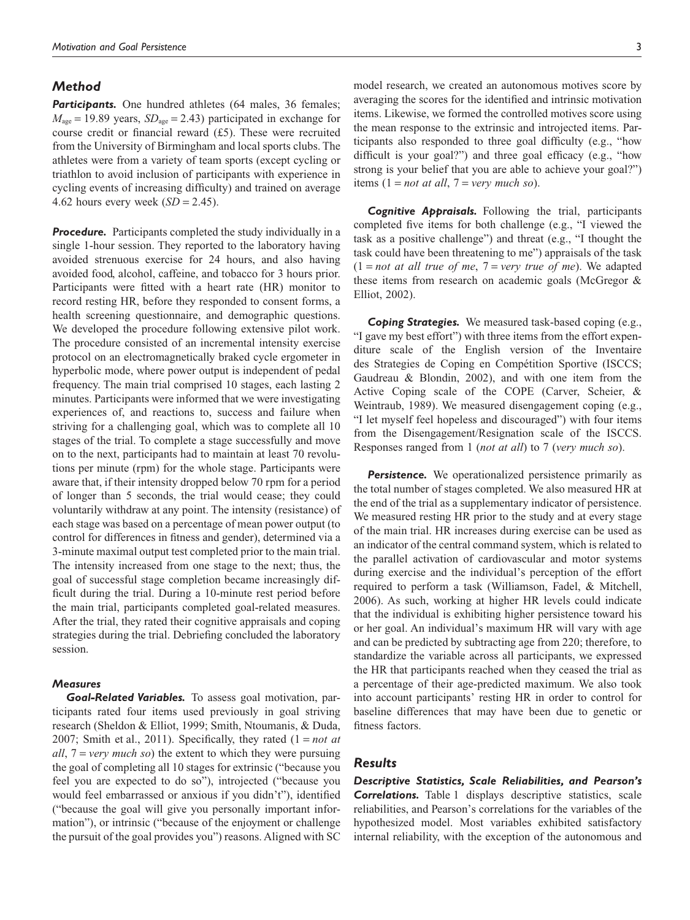#### *Method*

Participants. One hundred athletes (64 males, 36 females;  $M_{\text{age}} = 19.89$  years,  $SD_{\text{age}} = 2.43$ ) participated in exchange for course credit or financial reward (£5). These were recruited from the University of Birmingham and local sports clubs. The athletes were from a variety of team sports (except cycling or triathlon to avoid inclusion of participants with experience in cycling events of increasing difficulty) and trained on average 4.62 hours every week (*SD* = 2.45).

**Procedure.** Participants completed the study individually in a single 1-hour session. They reported to the laboratory having avoided strenuous exercise for 24 hours, and also having avoided food, alcohol, caffeine, and tobacco for 3 hours prior. Participants were fitted with a heart rate (HR) monitor to record resting HR, before they responded to consent forms, a health screening questionnaire, and demographic questions. We developed the procedure following extensive pilot work. The procedure consisted of an incremental intensity exercise protocol on an electromagnetically braked cycle ergometer in hyperbolic mode, where power output is independent of pedal frequency. The main trial comprised 10 stages, each lasting 2 minutes. Participants were informed that we were investigating experiences of, and reactions to, success and failure when striving for a challenging goal, which was to complete all 10 stages of the trial. To complete a stage successfully and move on to the next, participants had to maintain at least 70 revolutions per minute (rpm) for the whole stage. Participants were aware that, if their intensity dropped below 70 rpm for a period of longer than 5 seconds, the trial would cease; they could voluntarily withdraw at any point. The intensity (resistance) of each stage was based on a percentage of mean power output (to control for differences in fitness and gender), determined via a 3-minute maximal output test completed prior to the main trial. The intensity increased from one stage to the next; thus, the goal of successful stage completion became increasingly difficult during the trial. During a 10-minute rest period before the main trial, participants completed goal-related measures. After the trial, they rated their cognitive appraisals and coping strategies during the trial. Debriefing concluded the laboratory session.

#### *Measures*

*Goal-Related Variables.* To assess goal motivation, participants rated four items used previously in goal striving research (Sheldon & Elliot, 1999; Smith, Ntoumanis, & Duda, 2007; Smith et al., 2011). Specifically, they rated (1 = *not at all*, 7 = *very much so*) the extent to which they were pursuing the goal of completing all 10 stages for extrinsic ("because you feel you are expected to do so"), introjected ("because you would feel embarrassed or anxious if you didn't"), identified ("because the goal will give you personally important information"), or intrinsic ("because of the enjoyment or challenge the pursuit of the goal provides you") reasons. Aligned with SC

model research, we created an autonomous motives score by averaging the scores for the identified and intrinsic motivation items. Likewise, we formed the controlled motives score using the mean response to the extrinsic and introjected items. Participants also responded to three goal difficulty (e.g., "how difficult is your goal?") and three goal efficacy (e.g., "how strong is your belief that you are able to achieve your goal?") items (1 = *not at all*, 7 = *very much so*).

*Cognitive Appraisals.* Following the trial, participants completed five items for both challenge (e.g., "I viewed the task as a positive challenge") and threat (e.g., "I thought the task could have been threatening to me") appraisals of the task  $(1 = not at all true of me, 7 = very true of me).$  We adapted these items from research on academic goals (McGregor & Elliot, 2002).

*Coping Strategies.* We measured task-based coping (e.g., "I gave my best effort") with three items from the effort expenditure scale of the English version of the Inventaire des Strategies de Coping en Compétition Sportive (ISCCS; Gaudreau & Blondin, 2002), and with one item from the Active Coping scale of the COPE (Carver, Scheier, & Weintraub, 1989). We measured disengagement coping (e.g., "I let myself feel hopeless and discouraged") with four items from the Disengagement/Resignation scale of the ISCCS. Responses ranged from 1 (*not at all*) to 7 (*very much so*).

**Persistence.** We operationalized persistence primarily as the total number of stages completed. We also measured HR at the end of the trial as a supplementary indicator of persistence. We measured resting HR prior to the study and at every stage of the main trial. HR increases during exercise can be used as an indicator of the central command system, which is related to the parallel activation of cardiovascular and motor systems during exercise and the individual's perception of the effort required to perform a task (Williamson, Fadel, & Mitchell, 2006). As such, working at higher HR levels could indicate that the individual is exhibiting higher persistence toward his or her goal. An individual's maximum HR will vary with age and can be predicted by subtracting age from 220; therefore, to standardize the variable across all participants, we expressed the HR that participants reached when they ceased the trial as a percentage of their age-predicted maximum. We also took into account participants' resting HR in order to control for baseline differences that may have been due to genetic or fitness factors.

#### *Results*

*Descriptive Statistics, Scale Reliabilities, and Pearson's* **Correlations.** Table 1 displays descriptive statistics, scale reliabilities, and Pearson's correlations for the variables of the hypothesized model. Most variables exhibited satisfactory internal reliability, with the exception of the autonomous and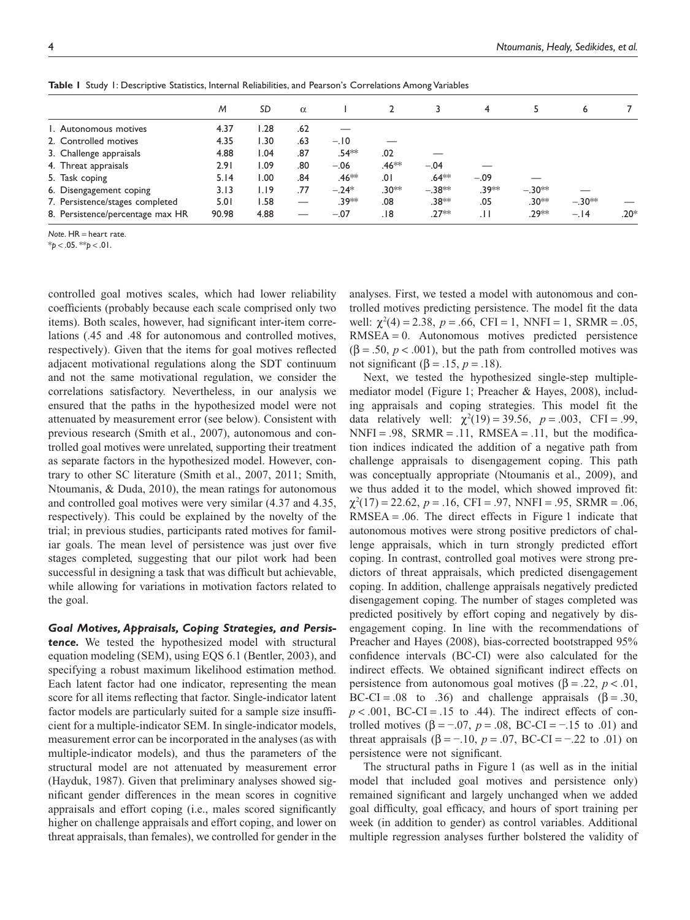|                                  | M     | SD    | $\alpha$                 |         |                   |          | 4      |          | 6        |        |
|----------------------------------|-------|-------|--------------------------|---------|-------------------|----------|--------|----------|----------|--------|
| 1. Autonomous motives            | 4.37  | l.28  | .62                      |         |                   |          |        |          |          |        |
| 2. Controlled motives            | 4.35  | l.30  | .63                      | $-.10$  |                   |          |        |          |          |        |
| 3. Challenge appraisals          | 4.88  | 1.04  | .87                      | .54**   | .02               |          |        |          |          |        |
| 4. Threat appraisals             | 2.91  | 09. ا | .80                      | $-.06$  | .46 <sup>**</sup> | $-.04$   |        |          |          |        |
| 5. Task coping                   | 5.14  | 0.00  | .84                      | .46**   | 0١.               | $.64**$  | $-.09$ |          |          |        |
| 6. Disengagement coping          | 3.13  | I.I9  | .77                      | $-.24*$ | $.30**$           | $-.38**$ | .39**  | $-.30**$ |          |        |
| 7. Persistence/stages completed  | 5.01  | l.58  | $\equiv$                 | .39 **  | .08               | .38**    | .05    | $.30**$  | $-.30**$ |        |
| 8. Persistence/percentage max HR | 90.98 | 4.88  | $\overline{\phantom{0}}$ | $-.07$  | .18               | $.27**$  | .11    | .29**    | $-.14$   | $.20*$ |

**Table 1** Study 1: Descriptive Statistics, Internal Reliabilities, and Pearson's Correlations Among Variables

*Note*. HR = heart rate.

\**p* < .05. \*\**p* < .01.

controlled goal motives scales, which had lower reliability coefficients (probably because each scale comprised only two items). Both scales, however, had significant inter-item correlations (.45 and .48 for autonomous and controlled motives, respectively). Given that the items for goal motives reflected adjacent motivational regulations along the SDT continuum and not the same motivational regulation, we consider the correlations satisfactory. Nevertheless, in our analysis we ensured that the paths in the hypothesized model were not attenuated by measurement error (see below). Consistent with previous research (Smith et al., 2007), autonomous and controlled goal motives were unrelated, supporting their treatment as separate factors in the hypothesized model. However, contrary to other SC literature (Smith et al., 2007, 2011; Smith, Ntoumanis, & Duda, 2010), the mean ratings for autonomous and controlled goal motives were very similar (4.37 and 4.35, respectively). This could be explained by the novelty of the trial; in previous studies, participants rated motives for familiar goals. The mean level of persistence was just over five stages completed, suggesting that our pilot work had been successful in designing a task that was difficult but achievable, while allowing for variations in motivation factors related to the goal.

*Goal Motives, Appraisals, Coping Strategies, and Persistence.* We tested the hypothesized model with structural equation modeling (SEM), using EQS 6.1 (Bentler, 2003), and specifying a robust maximum likelihood estimation method. Each latent factor had one indicator, representing the mean score for all items reflecting that factor. Single-indicator latent factor models are particularly suited for a sample size insufficient for a multiple-indicator SEM. In single-indicator models, measurement error can be incorporated in the analyses (as with multiple-indicator models), and thus the parameters of the structural model are not attenuated by measurement error (Hayduk, 1987). Given that preliminary analyses showed significant gender differences in the mean scores in cognitive appraisals and effort coping (i.e., males scored significantly higher on challenge appraisals and effort coping, and lower on threat appraisals, than females), we controlled for gender in the

analyses. First, we tested a model with autonomous and controlled motives predicting persistence. The model fit the data well:  $\chi^2(4) = 2.38$ ,  $p = .66$ , CFI = 1, NNFI = 1, SRMR = .05,  $RMSEA = 0$ . Autonomous motives predicted persistence  $(\beta = .50, p < .001)$ , but the path from controlled motives was not significant (β = .15,  $p = .18$ ).

Next, we tested the hypothesized single-step multiplemediator model (Figure 1; Preacher & Hayes, 2008), including appraisals and coping strategies. This model fit the data relatively well:  $\chi^2(19) = 39.56$ ,  $p = .003$ , CFI = .99,  $NNFI = .98$ ,  $SRMR = .11$ ,  $RMSEA = .11$ , but the modification indices indicated the addition of a negative path from challenge appraisals to disengagement coping. This path was conceptually appropriate (Ntoumanis et al., 2009), and we thus added it to the model, which showed improved fit:  $\chi^2(17) = 22.62, p = .16, \text{ CFI} = .97, \text{ NNFI} = .95, \text{ SRMR} = .06,$  $RMSEA = .06$ . The direct effects in Figure 1 indicate that autonomous motives were strong positive predictors of challenge appraisals, which in turn strongly predicted effort coping. In contrast, controlled goal motives were strong predictors of threat appraisals, which predicted disengagement coping. In addition, challenge appraisals negatively predicted disengagement coping. The number of stages completed was predicted positively by effort coping and negatively by disengagement coping. In line with the recommendations of Preacher and Hayes (2008), bias-corrected bootstrapped 95% confidence intervals (BC-CI) were also calculated for the indirect effects. We obtained significant indirect effects on persistence from autonomous goal motives ( $β = .22$ ,  $p < .01$ , BC-CI = .08 to .36) and challenge appraisals ( $\beta$  = .30,  $p < .001$ , BC-CI = .15 to .44). The indirect effects of controlled motives (β = −.07, *p* = .08, BC-CI = −.15 to .01) and threat appraisals (β = −.10, *p* = .07, BC-CI = −.22 to .01) on persistence were not significant.

The structural paths in Figure 1 (as well as in the initial model that included goal motives and persistence only) remained significant and largely unchanged when we added goal difficulty, goal efficacy, and hours of sport training per week (in addition to gender) as control variables. Additional multiple regression analyses further bolstered the validity of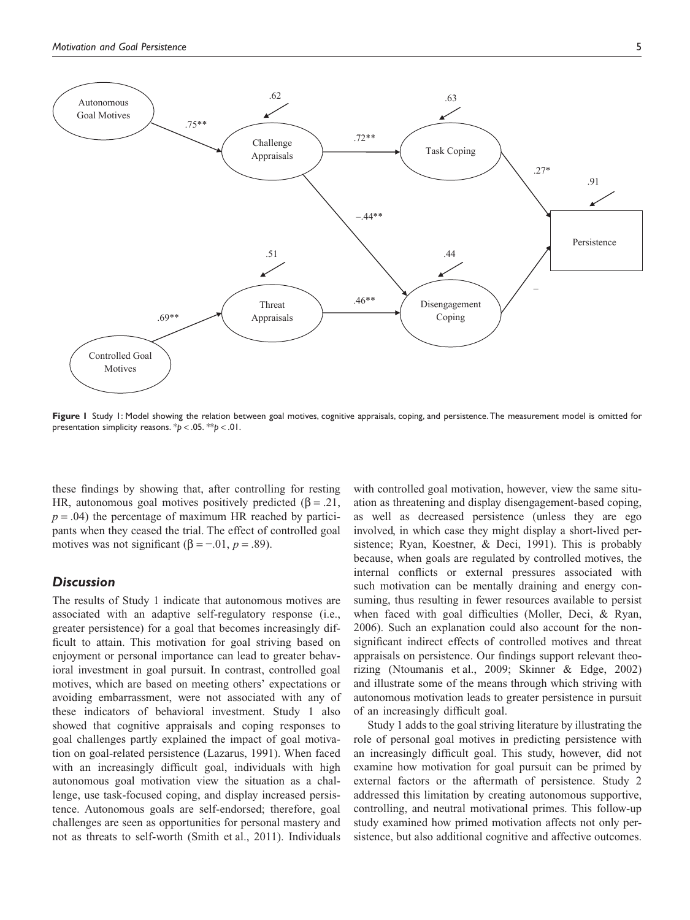

Figure 1 Study 1: Model showing the relation between goal motives, cognitive appraisals, coping, and persistence. The measurement model is omitted for presentation simplicity reasons. \**p* < .05. \*\**p* < .01.

these findings by showing that, after controlling for resting HR, autonomous goal motives positively predicted ( $\beta = 0.21$ ,  $p = .04$ ) the percentage of maximum HR reached by participants when they ceased the trial. The effect of controlled goal motives was not significant  $(\beta = -0.01, p = .89)$ .

#### *Discussion*

The results of Study 1 indicate that autonomous motives are associated with an adaptive self-regulatory response (i.e., greater persistence) for a goal that becomes increasingly difficult to attain. This motivation for goal striving based on enjoyment or personal importance can lead to greater behavioral investment in goal pursuit. In contrast, controlled goal motives, which are based on meeting others' expectations or avoiding embarrassment, were not associated with any of these indicators of behavioral investment. Study 1 also showed that cognitive appraisals and coping responses to goal challenges partly explained the impact of goal motivation on goal-related persistence (Lazarus, 1991). When faced with an increasingly difficult goal, individuals with high autonomous goal motivation view the situation as a challenge, use task-focused coping, and display increased persistence. Autonomous goals are self-endorsed; therefore, goal challenges are seen as opportunities for personal mastery and not as threats to self-worth (Smith et al., 2011). Individuals with controlled goal motivation, however, view the same situation as threatening and display disengagement-based coping, as well as decreased persistence (unless they are ego involved, in which case they might display a short-lived persistence; Ryan, Koestner, & Deci, 1991). This is probably because, when goals are regulated by controlled motives, the internal conflicts or external pressures associated with such motivation can be mentally draining and energy consuming, thus resulting in fewer resources available to persist when faced with goal difficulties (Moller, Deci, & Ryan, 2006). Such an explanation could also account for the nonsignificant indirect effects of controlled motives and threat appraisals on persistence. Our findings support relevant theorizing (Ntoumanis et al., 2009; Skinner & Edge, 2002) and illustrate some of the means through which striving with autonomous motivation leads to greater persistence in pursuit of an increasingly difficult goal.

Study 1 adds to the goal striving literature by illustrating the role of personal goal motives in predicting persistence with an increasingly difficult goal. This study, however, did not examine how motivation for goal pursuit can be primed by external factors or the aftermath of persistence. Study 2 addressed this limitation by creating autonomous supportive, controlling, and neutral motivational primes. This follow-up study examined how primed motivation affects not only persistence, but also additional cognitive and affective outcomes.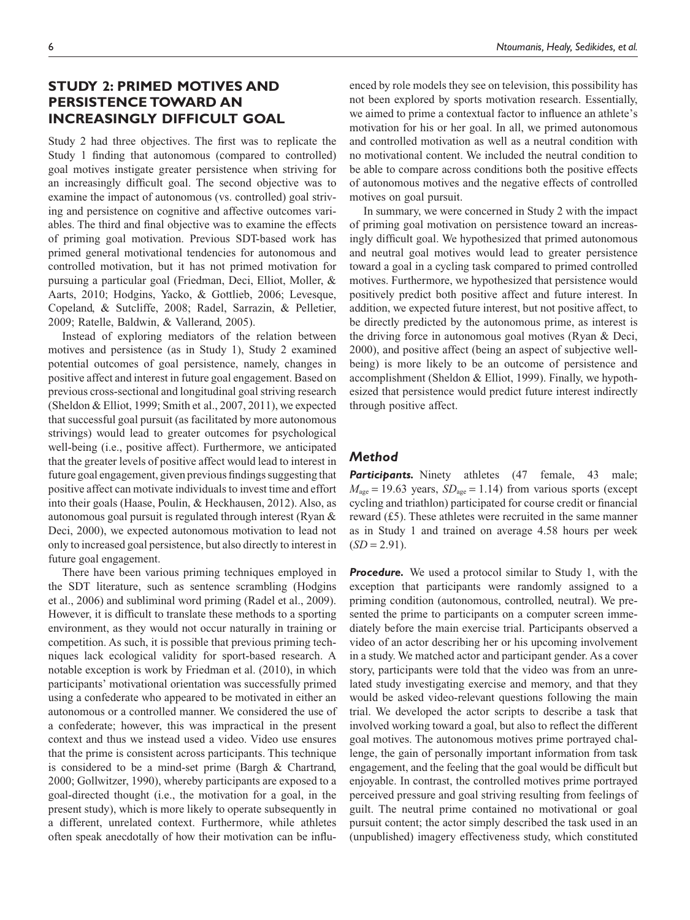#### 6 *Ntoumanis, Healy, Sedikides, et al.*

# **STUDY 2: PRIMED MOTIVES AND PERSISTENCE TOWARD AN INCREASINGLY DIFFICULT GOAL**

Study 2 had three objectives. The first was to replicate the Study 1 finding that autonomous (compared to controlled) goal motives instigate greater persistence when striving for an increasingly difficult goal. The second objective was to examine the impact of autonomous (vs. controlled) goal striving and persistence on cognitive and affective outcomes variables. The third and final objective was to examine the effects of priming goal motivation. Previous SDT-based work has primed general motivational tendencies for autonomous and controlled motivation, but it has not primed motivation for pursuing a particular goal (Friedman, Deci, Elliot, Moller, & Aarts, 2010; Hodgins, Yacko, & Gottlieb, 2006; Levesque, Copeland, & Sutcliffe, 2008; Radel, Sarrazin, & Pelletier, 2009; Ratelle, Baldwin, & Vallerand, 2005).

Instead of exploring mediators of the relation between motives and persistence (as in Study 1), Study 2 examined potential outcomes of goal persistence, namely, changes in positive affect and interest in future goal engagement. Based on previous cross-sectional and longitudinal goal striving research (Sheldon & Elliot, 1999; Smith et al., 2007, 2011), we expected that successful goal pursuit (as facilitated by more autonomous strivings) would lead to greater outcomes for psychological well-being (i.e., positive affect). Furthermore, we anticipated that the greater levels of positive affect would lead to interest in future goal engagement, given previous findings suggesting that positive affect can motivate individuals to invest time and effort into their goals (Haase, Poulin, & Heckhausen, 2012). Also, as autonomous goal pursuit is regulated through interest (Ryan & Deci, 2000), we expected autonomous motivation to lead not only to increased goal persistence, but also directly to interest in future goal engagement.

There have been various priming techniques employed in the SDT literature, such as sentence scrambling (Hodgins et al., 2006) and subliminal word priming (Radel et al., 2009). However, it is difficult to translate these methods to a sporting environment, as they would not occur naturally in training or competition. As such, it is possible that previous priming techniques lack ecological validity for sport-based research. A notable exception is work by Friedman et al. (2010), in which participants' motivational orientation was successfully primed using a confederate who appeared to be motivated in either an autonomous or a controlled manner. We considered the use of a confederate; however, this was impractical in the present context and thus we instead used a video. Video use ensures that the prime is consistent across participants. This technique is considered to be a mind-set prime (Bargh & Chartrand, 2000; Gollwitzer, 1990), whereby participants are exposed to a goal-directed thought (i.e., the motivation for a goal, in the present study), which is more likely to operate subsequently in a different, unrelated context. Furthermore, while athletes often speak anecdotally of how their motivation can be influenced by role models they see on television, this possibility has not been explored by sports motivation research. Essentially, we aimed to prime a contextual factor to influence an athlete's motivation for his or her goal. In all, we primed autonomous and controlled motivation as well as a neutral condition with no motivational content. We included the neutral condition to be able to compare across conditions both the positive effects of autonomous motives and the negative effects of controlled motives on goal pursuit.

In summary, we were concerned in Study 2 with the impact of priming goal motivation on persistence toward an increasingly difficult goal. We hypothesized that primed autonomous and neutral goal motives would lead to greater persistence toward a goal in a cycling task compared to primed controlled motives. Furthermore, we hypothesized that persistence would positively predict both positive affect and future interest. In addition, we expected future interest, but not positive affect, to be directly predicted by the autonomous prime, as interest is the driving force in autonomous goal motives (Ryan & Deci, 2000), and positive affect (being an aspect of subjective wellbeing) is more likely to be an outcome of persistence and accomplishment (Sheldon & Elliot, 1999). Finally, we hypothesized that persistence would predict future interest indirectly through positive affect.

#### *Method*

**Participants.** Ninety athletes (47 female, 43 male;  $M<sub>age</sub> = 19.63 years, SD<sub>age</sub> = 1.14) from various sports (except$ cycling and triathlon) participated for course credit or financial reward (£5). These athletes were recruited in the same manner as in Study 1 and trained on average 4.58 hours per week  $(SD = 2.91)$ .

**Procedure.** We used a protocol similar to Study 1, with the exception that participants were randomly assigned to a priming condition (autonomous, controlled, neutral). We presented the prime to participants on a computer screen immediately before the main exercise trial. Participants observed a video of an actor describing her or his upcoming involvement in a study. We matched actor and participant gender. As a cover story, participants were told that the video was from an unrelated study investigating exercise and memory, and that they would be asked video-relevant questions following the main trial. We developed the actor scripts to describe a task that involved working toward a goal, but also to reflect the different goal motives. The autonomous motives prime portrayed challenge, the gain of personally important information from task engagement, and the feeling that the goal would be difficult but enjoyable. In contrast, the controlled motives prime portrayed perceived pressure and goal striving resulting from feelings of guilt. The neutral prime contained no motivational or goal pursuit content; the actor simply described the task used in an (unpublished) imagery effectiveness study, which constituted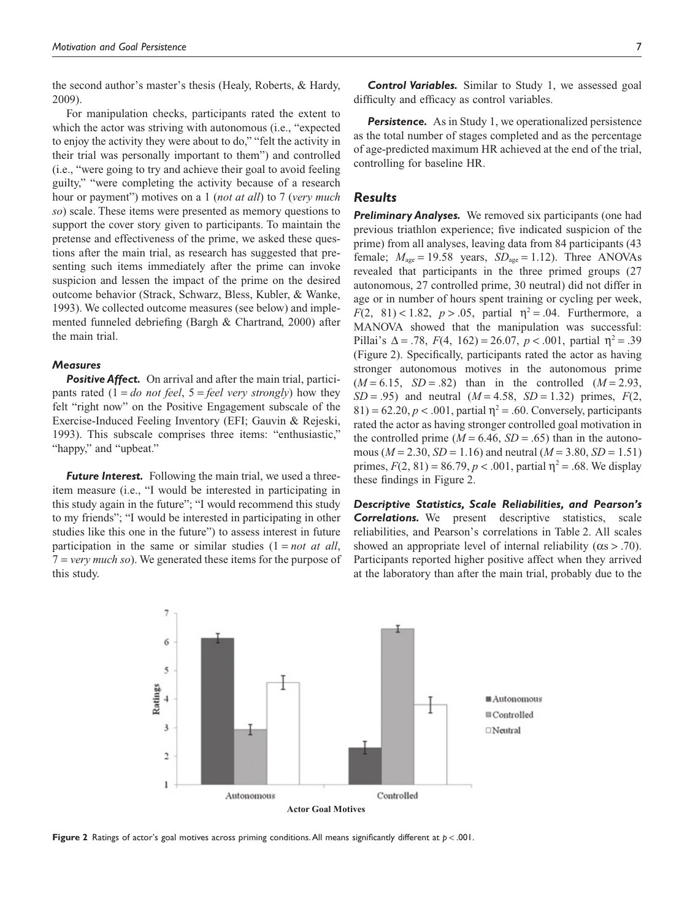the second author's master's thesis (Healy, Roberts, & Hardy, 2009).

For manipulation checks, participants rated the extent to which the actor was striving with autonomous (i.e., "expected to enjoy the activity they were about to do," "felt the activity in their trial was personally important to them") and controlled (i.e., "were going to try and achieve their goal to avoid feeling guilty," "were completing the activity because of a research hour or payment") motives ona1(*not at all*) to 7 (*very much so*) scale. These items were presented as memory questions to support the cover story given to participants. To maintain the pretense and effectiveness of the prime, we asked these questions after the main trial, as research has suggested that presenting such items immediately after the prime can invoke suspicion and lessen the impact of the prime on the desired outcome behavior (Strack, Schwarz, Bless, Kubler, & Wanke, 1993). We collected outcome measures (see below) and implemented funneled debriefing (Bargh & Chartrand, 2000) after the main trial.

#### *Measures*

**Positive Affect.** On arrival and after the main trial, participants rated  $(1 = do not feel, 5 = feel very strongly)$  how they felt "right now" on the Positive Engagement subscale of the Exercise-Induced Feeling Inventory (EFI; Gauvin & Rejeski, 1993). This subscale comprises three items: "enthusiastic," "happy," and "upbeat."

*Future Interest.* Following the main trial, we used a threeitem measure (i.e., "I would be interested in participating in this study again in the future"; "I would recommend this study to my friends"; "I would be interested in participating in other studies like this one in the future") to assess interest in future participation in the same or similar studies (1 = *not at all*, 7 = *very much so*). We generated these items for the purpose of this study.

7

*Control Variables.* Similar to Study 1, we assessed goal difficulty and efficacy as control variables.

**Persistence.** As in Study 1, we operationalized persistence as the total number of stages completed and as the percentage of age-predicted maximum HR achieved at the end of the trial, controlling for baseline HR.

#### *Results*

**Preliminary Analyses.** We removed six participants (one had previous triathlon experience; five indicated suspicion of the prime) from all analyses, leaving data from 84 participants (43 female;  $M_{\text{age}} = 19.58$  years,  $SD_{\text{age}} = 1.12$ ). Three ANOVAs revealed that participants in the three primed groups (27 autonomous, 27 controlled prime, 30 neutral) did not differ in age or in number of hours spent training or cycling per week, *F*(2, 81) < 1.82, *p* > .05, partial  $\eta^2 = .04$ . Furthermore, a MANOVA showed that the manipulation was successful: Pillai's  $\Delta = .78$ ,  $F(4, 162) = 26.07$ ,  $p < .001$ , partial  $\eta^2 = .39$ (Figure 2). Specifically, participants rated the actor as having stronger autonomous motives in the autonomous prime  $(M = 6.15, SD = .82)$  than in the controlled  $(M = 2.93,$ *SD* = .95) and neutral (*M* = 4.58, *SD* = 1.32) primes, *F*(2,  $81$ ) = 62.20,  $p < .001$ , partial  $\eta^2 = .60$ . Conversely, participants rated the actor as having stronger controlled goal motivation in the controlled prime  $(M = 6.46, SD = .65)$  than in the autonomous ( $M = 2.30$ ,  $SD = 1.16$ ) and neutral ( $M = 3.80$ ,  $SD = 1.51$ ) primes,  $F(2, 81) = 86.79$ ,  $p < .001$ , partial  $\eta^2 = .68$ . We display these findings in Figure 2.

*Descriptive Statistics, Scale Reliabilities, and Pearson's Correlations.* We present descriptive statistics, scale reliabilities, and Pearson's correlations in Table 2. All scales showed an appropriate level of internal reliability  $(\alpha s > .70)$ . Participants reported higher positive affect when they arrived at the laboratory than after the main trial, probably due to the



**Figure 2** Ratings of actor's goal motives across priming conditions. All means significantly different at *p* < .001.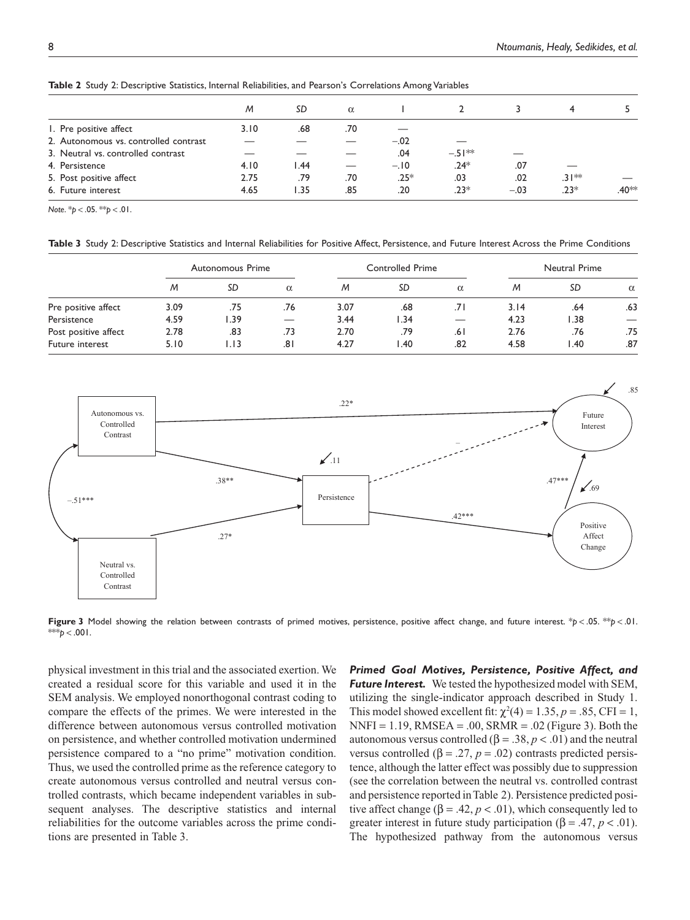|                                       | M    | SD   | $\alpha$ |        |          |        |          |         |
|---------------------------------------|------|------|----------|--------|----------|--------|----------|---------|
| I. Pre positive affect                | 3.10 | .68  | .70      |        |          |        |          |         |
| 2. Autonomous vs. controlled contrast |      |      |          | $-.02$ |          |        |          |         |
| 3. Neutral vs. controlled contrast    |      |      |          | .04    | $-.51**$ |        |          |         |
| 4. Persistence                        | 4.10 | .44  |          | $-.10$ | $.24*$   | .07    |          |         |
| 5. Post positive affect               | 2.75 | .79  | .70      | $.25*$ | .03      | .02    | $.31***$ |         |
| 6. Future interest                    | 4.65 | 1.35 | .85      | .20    | $.23*$   | $-.03$ | $.23*$   | $.40**$ |

**Table 2** Study 2: Descriptive Statistics, Internal Reliabilities, and Pearson's Correlations Among Variables

*Note*. \**p* < .05. \*\**p* < .01.

**Table 3** Study 2: Descriptive Statistics and Internal Reliabilities for Positive Affect, Persistence, and Future Interest Across the Prime Conditions

|                                         |      | Autonomous Prime |          |              | Controlled Prime |          | <b>Neutral Prime</b> |      |          |
|-----------------------------------------|------|------------------|----------|--------------|------------------|----------|----------------------|------|----------|
|                                         | M    | SD               | $\alpha$ | M            | SD               | $\alpha$ | Μ                    | SD   | $\alpha$ |
| Pre positive affect                     | 3.09 | .75              | .76      | 3.07         | .68              | 7١.      | 3.14                 | .64  | .63      |
| Persistence                             | 4.59 | 1.39             |          | 3.44         | . . 34           |          | 4.23                 | l.38 |          |
| Post positive affect<br>Future interest | 2.78 | .83<br>I.I3      | .73      | 2.70<br>4.27 | .79              | ا 6.     | 2.76                 | .76  | .75      |
|                                         | 5.10 |                  | ا 8.     |              | .40              | .82      | 4.58                 | .40  | .87      |



**Figure 3** Model showing the relation between contrasts of primed motives, persistence, positive affect change, and future interest. \**p* < .05. \*\**p* < .01. \*\*\* $p < .001$ .

physical investment in this trial and the associated exertion. We created a residual score for this variable and used it in the SEM analysis. We employed nonorthogonal contrast coding to compare the effects of the primes. We were interested in the difference between autonomous versus controlled motivation on persistence, and whether controlled motivation undermined persistence compared to a "no prime" motivation condition. Thus, we used the controlled prime as the reference category to create autonomous versus controlled and neutral versus controlled contrasts, which became independent variables in subsequent analyses. The descriptive statistics and internal reliabilities for the outcome variables across the prime conditions are presented in Table 3.

*Primed Goal Motives, Persistence, Positive Affect, and Future Interest.* We tested the hypothesized model with SEM, utilizing the single-indicator approach described in Study 1. This model showed excellent fit:  $\chi^2(4) = 1.35, p = .85, \text{CFI} = 1,$  $NNFI = 1.19$ ,  $RMSEA = .00$ ,  $SRMR = .02$  (Figure 3). Both the autonomous versus controlled ( $β = .38, p < .01$ ) and the neutral versus controlled ( $β = .27, p = .02$ ) contrasts predicted persistence, although the latter effect was possibly due to suppression (see the correlation between the neutral vs. controlled contrast and persistence reported inTable 2). Persistence predicted positive affect change ( $\beta = .42, p < .01$ ), which consequently led to greater interest in future study participation ( $\beta = .47, p < .01$ ). The hypothesized pathway from the autonomous versus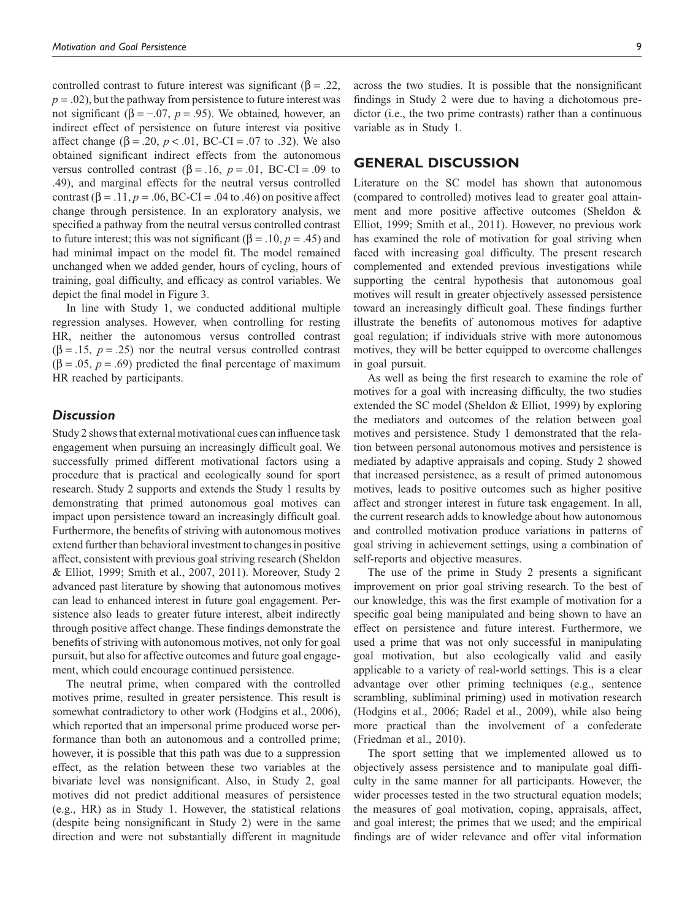controlled contrast to future interest was significant ( $\beta$  = .22,  $p = .02$ ), but the pathway from persistence to future interest was not significant (β = −.07, *p* = .95). We obtained, however, an indirect effect of persistence on future interest via positive affect change (β = .20, *p* < .01, BC-CI = .07 to .32). We also obtained significant indirect effects from the autonomous versus controlled contrast ( $\beta$  = .16, *p* = .01, BC-CI = .09 to .49), and marginal effects for the neutral versus controlled contrast  $(\beta = .11, p = .06, BC-CI = .04$  to .46) on positive affect change through persistence. In an exploratory analysis, we specified a pathway from the neutral versus controlled contrast to future interest; this was not significant  $(\beta = .10, p = .45)$  and had minimal impact on the model fit. The model remained unchanged when we added gender, hours of cycling, hours of training, goal difficulty, and efficacy as control variables. We depict the final model in Figure 3.

In line with Study 1, we conducted additional multiple regression analyses. However, when controlling for resting HR, neither the autonomous versus controlled contrast  $(\beta = .15, p = .25)$  nor the neutral versus controlled contrast  $(\beta = .05, p = .69)$  predicted the final percentage of maximum HR reached by participants.

#### *Discussion*

Study 2 shows that external motivational cues can influence task engagement when pursuing an increasingly difficult goal. We successfully primed different motivational factors using a procedure that is practical and ecologically sound for sport research. Study 2 supports and extends the Study 1 results by demonstrating that primed autonomous goal motives can impact upon persistence toward an increasingly difficult goal. Furthermore, the benefits of striving with autonomous motives extend further than behavioral investment to changes in positive affect, consistent with previous goal striving research (Sheldon & Elliot, 1999; Smith et al., 2007, 2011). Moreover, Study 2 advanced past literature by showing that autonomous motives can lead to enhanced interest in future goal engagement. Persistence also leads to greater future interest, albeit indirectly through positive affect change. These findings demonstrate the benefits of striving with autonomous motives, not only for goal pursuit, but also for affective outcomes and future goal engagement, which could encourage continued persistence.

The neutral prime, when compared with the controlled motives prime, resulted in greater persistence. This result is somewhat contradictory to other work (Hodgins et al., 2006), which reported that an impersonal prime produced worse performance than both an autonomous and a controlled prime; however, it is possible that this path was due to a suppression effect, as the relation between these two variables at the bivariate level was nonsignificant. Also, in Study 2, goal motives did not predict additional measures of persistence (e.g., HR) as in Study 1. However, the statistical relations (despite being nonsignificant in Study 2) were in the same direction and were not substantially different in magnitude

across the two studies. It is possible that the nonsignificant findings in Study 2 were due to having a dichotomous predictor (i.e., the two prime contrasts) rather than a continuous variable as in Study 1.

### **GENERAL DISCUSSION**

Literature on the SC model has shown that autonomous (compared to controlled) motives lead to greater goal attainment and more positive affective outcomes (Sheldon & Elliot, 1999; Smith et al., 2011). However, no previous work has examined the role of motivation for goal striving when faced with increasing goal difficulty. The present research complemented and extended previous investigations while supporting the central hypothesis that autonomous goal motives will result in greater objectively assessed persistence toward an increasingly difficult goal. These findings further illustrate the benefits of autonomous motives for adaptive goal regulation; if individuals strive with more autonomous motives, they will be better equipped to overcome challenges in goal pursuit.

As well as being the first research to examine the role of motives for a goal with increasing difficulty, the two studies extended the SC model (Sheldon & Elliot, 1999) by exploring the mediators and outcomes of the relation between goal motives and persistence. Study 1 demonstrated that the relation between personal autonomous motives and persistence is mediated by adaptive appraisals and coping. Study 2 showed that increased persistence, as a result of primed autonomous motives, leads to positive outcomes such as higher positive affect and stronger interest in future task engagement. In all, the current research adds to knowledge about how autonomous and controlled motivation produce variations in patterns of goal striving in achievement settings, using a combination of self-reports and objective measures.

The use of the prime in Study 2 presents a significant improvement on prior goal striving research. To the best of our knowledge, this was the first example of motivation for a specific goal being manipulated and being shown to have an effect on persistence and future interest. Furthermore, we used a prime that was not only successful in manipulating goal motivation, but also ecologically valid and easily applicable to a variety of real-world settings. This is a clear advantage over other priming techniques (e.g., sentence scrambling, subliminal priming) used in motivation research (Hodgins et al., 2006; Radel et al., 2009), while also being more practical than the involvement of a confederate (Friedman et al., 2010).

The sport setting that we implemented allowed us to objectively assess persistence and to manipulate goal difficulty in the same manner for all participants. However, the wider processes tested in the two structural equation models; the measures of goal motivation, coping, appraisals, affect, and goal interest; the primes that we used; and the empirical findings are of wider relevance and offer vital information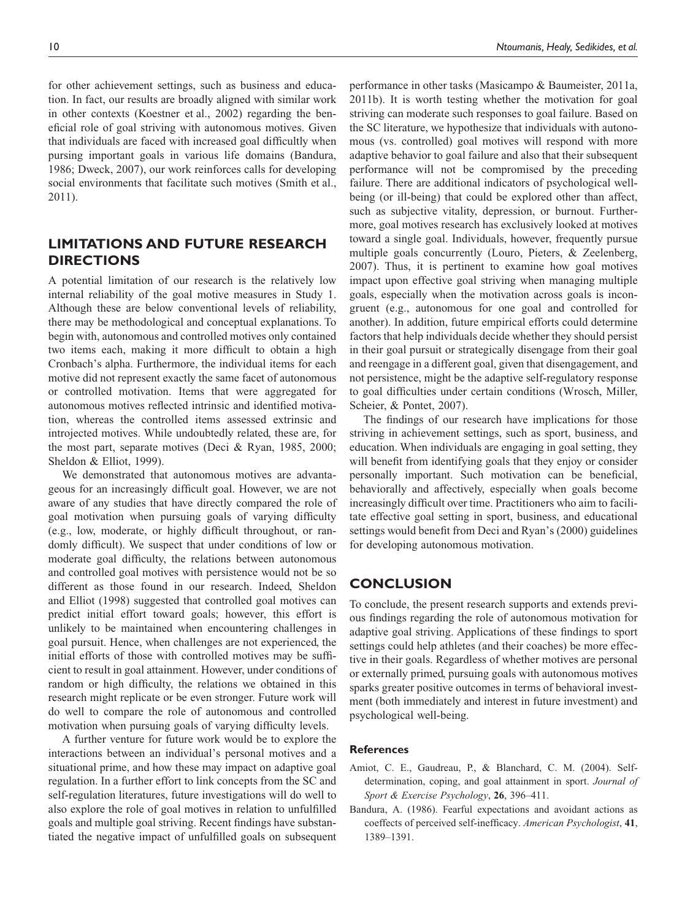for other achievement settings, such as business and education. In fact, our results are broadly aligned with similar work in other contexts (Koestner et al., 2002) regarding the beneficial role of goal striving with autonomous motives. Given that individuals are faced with increased goal difficultly when pursing important goals in various life domains (Bandura, 1986; Dweck, 2007), our work reinforces calls for developing social environments that facilitate such motives (Smith et al., 2011).

## **LIMITATIONS AND FUTURE RESEARCH DIRECTIONS**

A potential limitation of our research is the relatively low internal reliability of the goal motive measures in Study 1. Although these are below conventional levels of reliability, there may be methodological and conceptual explanations. To begin with, autonomous and controlled motives only contained two items each, making it more difficult to obtain a high Cronbach's alpha. Furthermore, the individual items for each motive did not represent exactly the same facet of autonomous or controlled motivation. Items that were aggregated for autonomous motives reflected intrinsic and identified motivation, whereas the controlled items assessed extrinsic and introjected motives. While undoubtedly related, these are, for the most part, separate motives (Deci & Ryan, 1985, 2000; Sheldon & Elliot, 1999).

We demonstrated that autonomous motives are advantageous for an increasingly difficult goal. However, we are not aware of any studies that have directly compared the role of goal motivation when pursuing goals of varying difficulty (e.g., low, moderate, or highly difficult throughout, or randomly difficult). We suspect that under conditions of low or moderate goal difficulty, the relations between autonomous and controlled goal motives with persistence would not be so different as those found in our research. Indeed, Sheldon and Elliot (1998) suggested that controlled goal motives can predict initial effort toward goals; however, this effort is unlikely to be maintained when encountering challenges in goal pursuit. Hence, when challenges are not experienced, the initial efforts of those with controlled motives may be sufficient to result in goal attainment. However, under conditions of random or high difficulty, the relations we obtained in this research might replicate or be even stronger. Future work will do well to compare the role of autonomous and controlled motivation when pursuing goals of varying difficulty levels.

A further venture for future work would be to explore the interactions between an individual's personal motives and a situational prime, and how these may impact on adaptive goal regulation. In a further effort to link concepts from the SC and self-regulation literatures, future investigations will do well to also explore the role of goal motives in relation to unfulfilled goals and multiple goal striving. Recent findings have substantiated the negative impact of unfulfilled goals on subsequent performance in other tasks (Masicampo & Baumeister, 2011a, 2011b). It is worth testing whether the motivation for goal striving can moderate such responses to goal failure. Based on the SC literature, we hypothesize that individuals with autonomous (vs. controlled) goal motives will respond with more adaptive behavior to goal failure and also that their subsequent performance will not be compromised by the preceding failure. There are additional indicators of psychological wellbeing (or ill-being) that could be explored other than affect, such as subjective vitality, depression, or burnout. Furthermore, goal motives research has exclusively looked at motives toward a single goal. Individuals, however, frequently pursue multiple goals concurrently (Louro, Pieters, & Zeelenberg, 2007). Thus, it is pertinent to examine how goal motives impact upon effective goal striving when managing multiple goals, especially when the motivation across goals is incongruent (e.g., autonomous for one goal and controlled for another). In addition, future empirical efforts could determine factors that help individuals decide whether they should persist in their goal pursuit or strategically disengage from their goal and reengage in a different goal, given that disengagement, and not persistence, might be the adaptive self-regulatory response to goal difficulties under certain conditions (Wrosch, Miller, Scheier, & Pontet, 2007).

The findings of our research have implications for those striving in achievement settings, such as sport, business, and education. When individuals are engaging in goal setting, they will benefit from identifying goals that they enjoy or consider personally important. Such motivation can be beneficial, behaviorally and affectively, especially when goals become increasingly difficult over time. Practitioners who aim to facilitate effective goal setting in sport, business, and educational settings would benefit from Deci and Ryan's (2000) guidelines for developing autonomous motivation.

### **CONCLUSION**

To conclude, the present research supports and extends previous findings regarding the role of autonomous motivation for adaptive goal striving. Applications of these findings to sport settings could help athletes (and their coaches) be more effective in their goals. Regardless of whether motives are personal or externally primed, pursuing goals with autonomous motives sparks greater positive outcomes in terms of behavioral investment (both immediately and interest in future investment) and psychological well-being.

#### **References**

- Amiot, C. E., Gaudreau, P., & Blanchard, C. M. (2004). Selfdetermination, coping, and goal attainment in sport. *Journal of Sport & Exercise Psychology*, **26**, 396–411.
- Bandura, A. (1986). Fearful expectations and avoidant actions as coeffects of perceived self-inefficacy. *American Psychologist*, **41**, 1389–1391.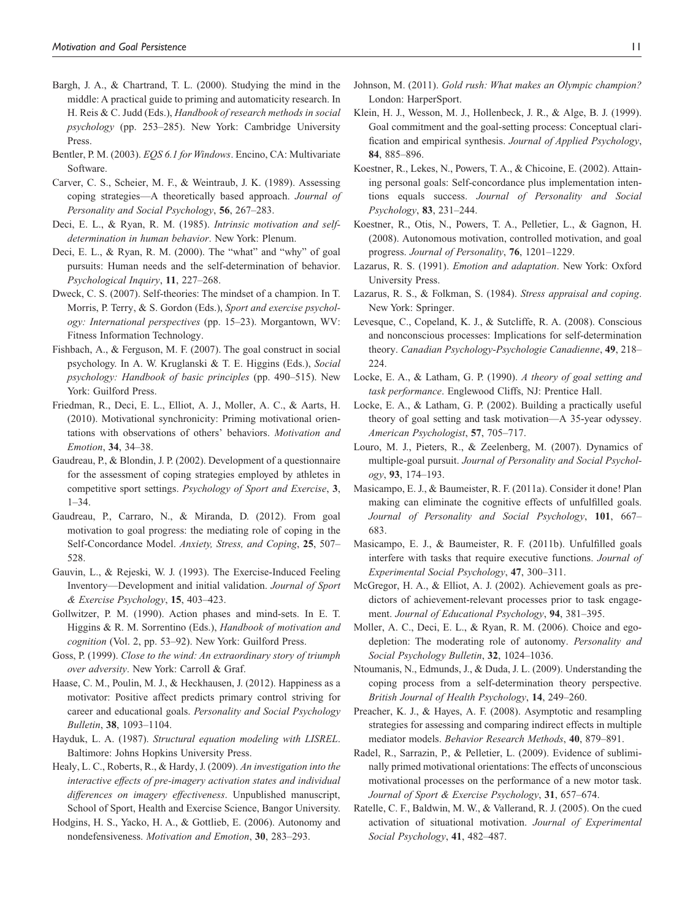- Bargh, J. A., & Chartrand, T. L. (2000). Studying the mind in the middle: A practical guide to priming and automaticity research. In H. Reis & C. Judd (Eds.), *Handbook of research methods in social psychology* (pp. 253–285). New York: Cambridge University Press.
- Bentler, P. M. (2003). *EQS 6.1 for Windows*. Encino, CA: Multivariate Software.
- Carver, C. S., Scheier, M. F., & Weintraub, J. K. (1989). Assessing coping strategies—A theoretically based approach. *Journal of Personality and Social Psychology*, **56**, 267–283.
- Deci, E. L., & Ryan, R. M. (1985). *Intrinsic motivation and selfdetermination in human behavior*. New York: Plenum.
- Deci, E. L., & Ryan, R. M. (2000). The "what" and "why" of goal pursuits: Human needs and the self-determination of behavior. *Psychological Inquiry*, **11**, 227–268.
- Dweck, C. S. (2007). Self-theories: The mindset of a champion. In T. Morris, P. Terry, & S. Gordon (Eds.), *Sport and exercise psychology: International perspectives* (pp. 15–23). Morgantown, WV: Fitness Information Technology.
- Fishbach, A., & Ferguson, M. F. (2007). The goal construct in social psychology. In A. W. Kruglanski & T. E. Higgins (Eds.), *Social psychology: Handbook of basic principles* (pp. 490–515). New York: Guilford Press.
- Friedman, R., Deci, E. L., Elliot, A. J., Moller, A. C., & Aarts, H. (2010). Motivational synchronicity: Priming motivational orientations with observations of others' behaviors. *Motivation and Emotion*, **34**, 34–38.
- Gaudreau, P., & Blondin, J. P. (2002). Development of a questionnaire for the assessment of coping strategies employed by athletes in competitive sport settings. *Psychology of Sport and Exercise*, **3**, 1–34.
- Gaudreau, P., Carraro, N., & Miranda, D. (2012). From goal motivation to goal progress: the mediating role of coping in the Self-Concordance Model. *Anxiety, Stress, and Coping*, **25**, 507– 528.
- Gauvin, L., & Rejeski, W. J. (1993). The Exercise-Induced Feeling Inventory—Development and initial validation. *Journal of Sport & Exercise Psychology*, **15**, 403–423.
- Gollwitzer, P. M. (1990). Action phases and mind-sets. In E. T. Higgins & R. M. Sorrentino (Eds.), *Handbook of motivation and cognition* (Vol. 2, pp. 53–92). New York: Guilford Press.
- Goss, P. (1999). *Close to the wind: An extraordinary story of triumph over adversity*. New York: Carroll & Graf.
- Haase, C. M., Poulin, M. J., & Heckhausen, J. (2012). Happiness as a motivator: Positive affect predicts primary control striving for career and educational goals. *Personality and Social Psychology Bulletin*, **38**, 1093–1104.
- Hayduk, L. A. (1987). *Structural equation modeling with LISREL*. Baltimore: Johns Hopkins University Press.
- Healy, L. C., Roberts, R., & Hardy, J. (2009). *An investigation into the interactive effects of pre-imagery activation states and individual differences on imagery effectiveness*. Unpublished manuscript, School of Sport, Health and Exercise Science, Bangor University.
- Hodgins, H. S., Yacko, H. A., & Gottlieb, E. (2006). Autonomy and nondefensiveness. *Motivation and Emotion*, **30**, 283–293.
- Johnson, M. (2011). *Gold rush: What makes an Olympic champion?* London: HarperSport.
- Klein, H. J., Wesson, M. J., Hollenbeck, J. R., & Alge, B. J. (1999). Goal commitment and the goal-setting process: Conceptual clarification and empirical synthesis. *Journal of Applied Psychology*, **84**, 885–896.
- Koestner, R., Lekes, N., Powers, T. A., & Chicoine, E. (2002). Attaining personal goals: Self-concordance plus implementation intentions equals success. *Journal of Personality and Social Psychology*, **83**, 231–244.
- Koestner, R., Otis, N., Powers, T. A., Pelletier, L., & Gagnon, H. (2008). Autonomous motivation, controlled motivation, and goal progress. *Journal of Personality*, **76**, 1201–1229.
- Lazarus, R. S. (1991). *Emotion and adaptation*. New York: Oxford University Press.
- Lazarus, R. S., & Folkman, S. (1984). *Stress appraisal and coping*. New York: Springer.
- Levesque, C., Copeland, K. J., & Sutcliffe, R. A. (2008). Conscious and nonconscious processes: Implications for self-determination theory. *Canadian Psychology-Psychologie Canadienne*, **49**, 218– 224.
- Locke, E. A., & Latham, G. P. (1990). *A theory of goal setting and task performance*. Englewood Cliffs, NJ: Prentice Hall.
- Locke, E. A., & Latham, G. P. (2002). Building a practically useful theory of goal setting and task motivation—A 35-year odyssey. *American Psychologist*, **57**, 705–717.
- Louro, M. J., Pieters, R., & Zeelenberg, M. (2007). Dynamics of multiple-goal pursuit. *Journal of Personality and Social Psychology*, **93**, 174–193.
- Masicampo, E. J., & Baumeister, R. F. (2011a). Consider it done! Plan making can eliminate the cognitive effects of unfulfilled goals. *Journal of Personality and Social Psychology*, **101**, 667– 683.
- Masicampo, E. J., & Baumeister, R. F. (2011b). Unfulfilled goals interfere with tasks that require executive functions. *Journal of Experimental Social Psychology*, **47**, 300–311.
- McGregor, H. A., & Elliot, A. J. (2002). Achievement goals as predictors of achievement-relevant processes prior to task engagement. *Journal of Educational Psychology*, **94**, 381–395.
- Moller, A. C., Deci, E. L., & Ryan, R. M. (2006). Choice and egodepletion: The moderating role of autonomy. *Personality and Social Psychology Bulletin*, **32**, 1024–1036.
- Ntoumanis, N., Edmunds, J., & Duda, J. L. (2009). Understanding the coping process from a self-determination theory perspective. *British Journal of Health Psychology*, **14**, 249–260.
- Preacher, K. J., & Hayes, A. F. (2008). Asymptotic and resampling strategies for assessing and comparing indirect effects in multiple mediator models. *Behavior Research Methods*, **40**, 879–891.
- Radel, R., Sarrazin, P., & Pelletier, L. (2009). Evidence of subliminally primed motivational orientations: The effects of unconscious motivational processes on the performance of a new motor task. *Journal of Sport & Exercise Psychology*, **31**, 657–674.
- Ratelle, C. F., Baldwin, M. W., & Vallerand, R. J. (2005). On the cued activation of situational motivation. *Journal of Experimental Social Psychology*, **41**, 482–487.